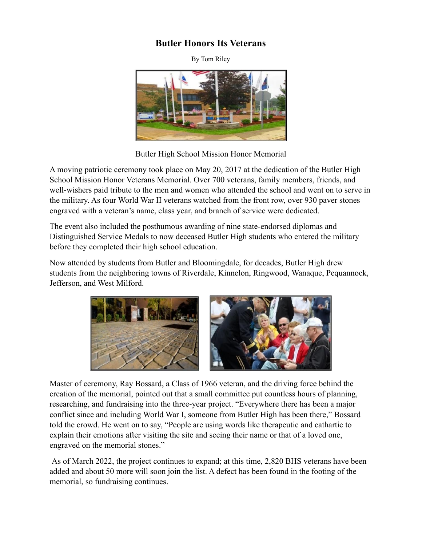## **Butler Honors Its Veterans**

By Tom Riley



Butler High School Mission Honor Memorial

A moving patriotic ceremony took place on May 20, 2017 at the dedication of the Butler High School Mission Honor Veterans Memorial. Over 700 veterans, family members, friends, and well-wishers paid tribute to the men and women who attended the school and went on to serve in the military. As four World War II veterans watched from the front row, over 930 paver stones engraved with a veteran's name, class year, and branch of service were dedicated.

The event also included the posthumous awarding of nine state-endorsed diplomas and Distinguished Service Medals to now deceased Butler High students who entered the military before they completed their high school education.

Now attended by students from Butler and Bloomingdale, for decades, Butler High drew students from the neighboring towns of Riverdale, Kinnelon, Ringwood, Wanaque, Pequannock, Jefferson, and West Milford.



Master of ceremony, Ray Bossard, a Class of 1966 veteran, and the driving force behind the creation of the memorial, pointed out that a small committee put countless hours of planning, researching, and fundraising into the three-year project. "Everywhere there has been a major conflict since and including World War I, someone from Butler High has been there," Bossard told the crowd. He went on to say, "People are using words like therapeutic and cathartic to explain their emotions after visiting the site and seeing their name or that of a loved one, engraved on the memorial stones."

As of March 2022, the project continues to expand; at this time, 2,820 BHS veterans have been added and about 50 more will soon join the list. A defect has been found in the footing of the memorial, so fundraising continues.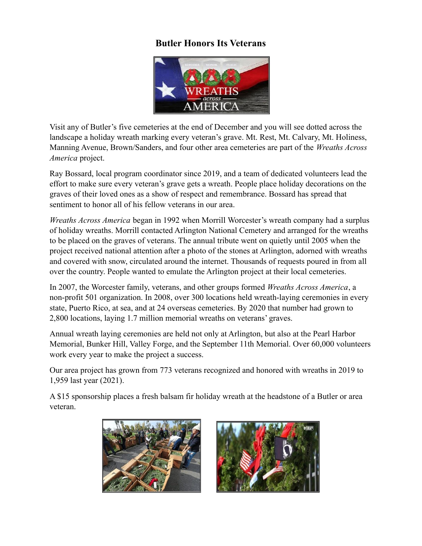## **Butler Honors Its Veterans**



Visit any of Butler's five cemeteries at the end of December and you will see dotted across the landscape a holiday wreath marking every veteran's grave. Mt. Rest, Mt. Calvary, Mt. Holiness, Manning Avenue, Brown/Sanders, and four other area cemeteries are part of the *Wreaths Across America* project.

Ray Bossard, local program coordinator since 2019, and a team of dedicated volunteers lead the effort to make sure every veteran's grave gets a wreath. People place holiday decorations on the graves of their loved ones as a show of respect and remembrance. Bossard has spread that sentiment to honor all of his fellow veterans in our area.

*Wreaths Across America* began in 1992 when Morrill Worcester's wreath company had a surplus of holiday wreaths. Morrill contacted Arlington National Cemetery and arranged for the wreaths to be placed on the graves of veterans. The annual tribute went on quietly until 2005 when the project received national attention after a photo of the stones at Arlington, adorned with wreaths and covered with snow, circulated around the internet. Thousands of requests poured in from all over the country. People wanted to emulate the Arlington project at their local cemeteries.

In 2007, the Worcester family, veterans, and other groups formed *Wreaths Across America*, a non-profit 501 organization. In 2008, over 300 locations held wreath-laying ceremonies in every state, Puerto Rico, at sea, and at 24 overseas cemeteries. By 2020 that number had grown to 2,800 locations, laying 1.7 million memorial wreaths on veterans' graves.

Annual wreath laying ceremonies are held not only at Arlington, but also at the Pearl Harbor Memorial, Bunker Hill, Valley Forge, and the September 11th Memorial. Over 60,000 volunteers work every year to make the project a success.

Our area project has grown from 773 veterans recognized and honored with wreaths in 2019 to 1,959 last year (2021).

A \$15 sponsorship places a fresh balsam fir holiday wreath at the headstone of a Butler or area veteran.